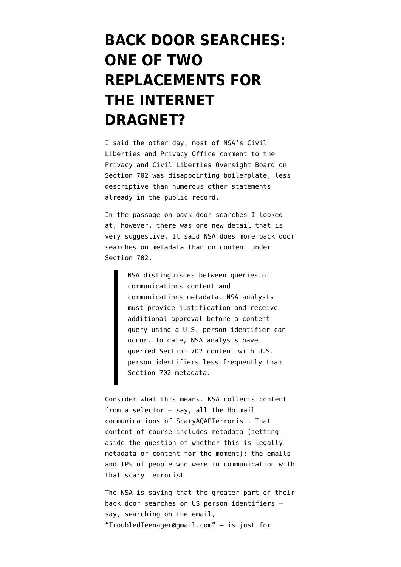## **[BACK DOOR SEARCHES:](https://www.emptywheel.net/2014/04/22/back-door-searches-one-of-two-replacements-for-the-internet-dragnet-2/) [ONE OF TWO](https://www.emptywheel.net/2014/04/22/back-door-searches-one-of-two-replacements-for-the-internet-dragnet-2/) [REPLACEMENTS FOR](https://www.emptywheel.net/2014/04/22/back-door-searches-one-of-two-replacements-for-the-internet-dragnet-2/) [THE INTERNET](https://www.emptywheel.net/2014/04/22/back-door-searches-one-of-two-replacements-for-the-internet-dragnet-2/) [DRAGNET?](https://www.emptywheel.net/2014/04/22/back-door-searches-one-of-two-replacements-for-the-internet-dragnet-2/)**

I said the other day, most of NSA's Civil Liberties and Privacy Office [comment](http://www.lawfareblog.com/2014/04/readings-nsa-report-on-the-702-program/) to the Privacy and Civil Liberties Oversight Board on Section 702 was disappointing boilerplate, less descriptive than numerous other statements already in the public record.

In the passage on back door searches I looked at, however, there was one new detail that is very suggestive. It said NSA does more back door searches on metadata than on content under Section 702.

> NSA distinguishes between queries of communications content and communications metadata. NSA analysts must provide justification and receive additional approval before a content query using a U.S. person identifier can occur. To date, NSA analysts have queried Section 702 content with U.S. person identifiers less frequently than Section 702 metadata.

Consider what this means. NSA collects content from a selector — say, all the Hotmail communications of ScaryAQAPTerrorist. That content of course includes metadata (setting aside the question of whether this is legally metadata or content for the moment): the emails and IPs of people who were in communication with that scary terrorist.

The NSA is saying that the greater part of their back door searches on US person identifiers say, searching on the email, "TroubledTeenager@gmail.com" — is just for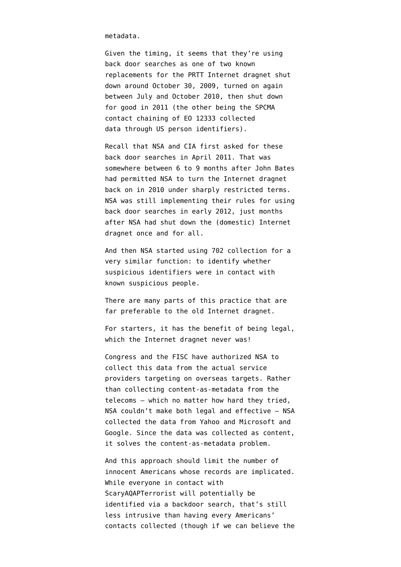metadata.

Given the timing, it seems that they're using back door searches as one of two known replacements for the PRTT Internet dragnet shut down around October 30, 2009, turned on again between July and October 2010, then shut down for good in 2011 (the other being the [SPCMA](http://www.emptywheel.net/2014/02/17/spcma-the-other-nsa-dragnet-sucking-in-americans/) [contact chaining of EO 12333 collected](http://www.emptywheel.net/2014/02/17/spcma-the-other-nsa-dragnet-sucking-in-americans/) [data](http://www.emptywheel.net/2014/02/17/spcma-the-other-nsa-dragnet-sucking-in-americans/) through US person identifiers).

Recall that NSA and CIA [first asked for](https://www.aclu.org/files/assets/fisc_opinion_10.3.2011.pdf) these back door searches in April 2011. That was somewhere between 6 to 9 months after [John Bates](https://www.aclu.org/files/natsec/nsa/FISC%20Opinion%20Granting%20Government%20Application%20Pursuant%20to%20Section%20402.pdf) [had permitted](https://www.aclu.org/files/natsec/nsa/FISC%20Opinion%20Granting%20Government%20Application%20Pursuant%20to%20Section%20402.pdf) NSA to turn the Internet dragnet back on in 2010 under sharply restricted terms. NSA was still implementing their rules for using back door searches in early 2012, just months after NSA had shut down the (domestic) Internet dragnet once and for all.

And then NSA started using 702 collection for a very similar function: to identify whether suspicious identifiers were in contact with known suspicious people.

There are many parts of this practice that are far preferable to the old Internet dragnet.

For starters, it has the benefit of being legal, which the Internet dragnet never was!

Congress and the FISC have authorized NSA to collect this data from the actual service providers targeting on overseas targets. Rather than collecting content-as-metadata from the telecoms — which no matter how hard they tried, NSA couldn't make both legal and effective — NSA collected the data from Yahoo and Microsoft and Google. Since the data was collected as content, it solves the content-as-metadata problem.

And this approach should limit the number of innocent Americans whose records are implicated. While everyone in contact with ScaryAQAPTerrorist will potentially be identified via a backdoor search, that's still less intrusive than having every Americans' contacts collected (though if we can believe the